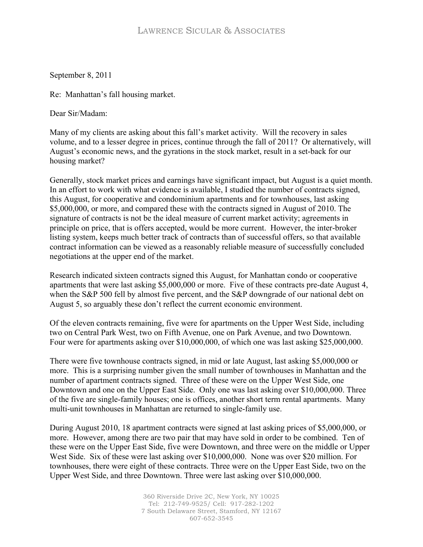September 8, 2011

Re: Manhattan's fall housing market.

Dear Sir/Madam:

Many of my clients are asking about this fall's market activity. Will the recovery in sales volume, and to a lesser degree in prices, continue through the fall of 2011? Or alternatively, will August's economic news, and the gyrations in the stock market, result in a set-back for our housing market?

Generally, stock market prices and earnings have significant impact, but August is a quiet month. In an effort to work with what evidence is available, I studied the number of contracts signed, this August, for cooperative and condominium apartments and for townhouses, last asking \$5,000,000, or more, and compared these with the contracts signed in August of 2010. The signature of contracts is not be the ideal measure of current market activity; agreements in principle on price, that is offers accepted, would be more current. However, the inter-broker listing system, keeps much better track of contracts than of successful offers, so that available contract information can be viewed as a reasonably reliable measure of successfully concluded negotiations at the upper end of the market.

Research indicated sixteen contracts signed this August, for Manhattan condo or cooperative apartments that were last asking \$5,000,000 or more. Five of these contracts pre-date August 4, when the S&P 500 fell by almost five percent, and the S&P downgrade of our national debt on August 5, so arguably these don't reflect the current economic environment.

Of the eleven contracts remaining, five were for apartments on the Upper West Side, including two on Central Park West, two on Fifth Avenue, one on Park Avenue, and two Downtown. Four were for apartments asking over \$10,000,000, of which one was last asking \$25,000,000.

There were five townhouse contracts signed, in mid or late August, last asking \$5,000,000 or more. This is a surprising number given the small number of townhouses in Manhattan and the number of apartment contracts signed. Three of these were on the Upper West Side, one Downtown and one on the Upper East Side. Only one was last asking over \$10,000,000. Three of the five are single-family houses; one is offices, another short term rental apartments. Many multi-unit townhouses in Manhattan are returned to single-family use.

During August 2010, 18 apartment contracts were signed at last asking prices of \$5,000,000, or more. However, among there are two pair that may have sold in order to be combined. Ten of these were on the Upper East Side, five were Downtown, and three were on the middle or Upper West Side. Six of these were last asking over \$10,000,000. None was over \$20 million. For townhouses, there were eight of these contracts. Three were on the Upper East Side, two on the Upper West Side, and three Downtown. Three were last asking over \$10,000,000.